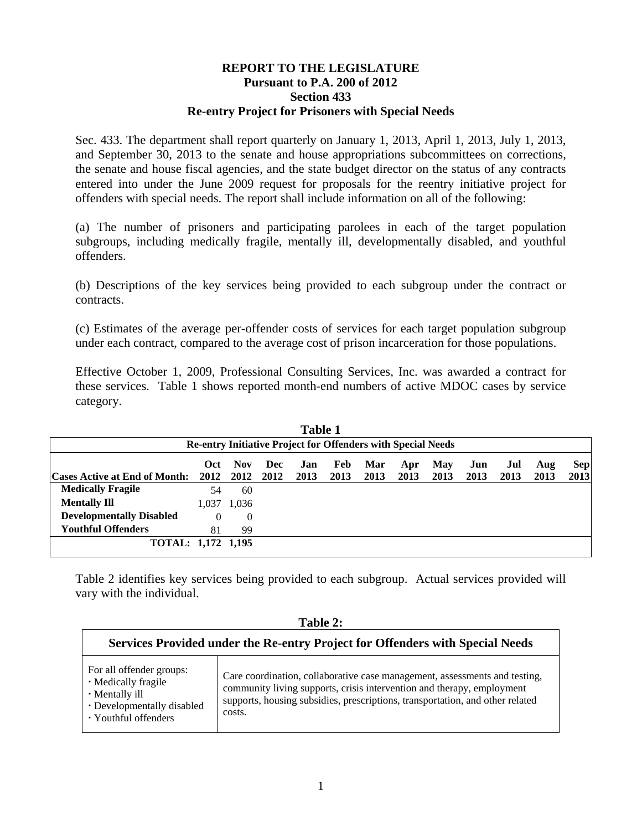## **REPORT TO THE LEGISLATURE Pursuant to P.A. 200 of 2012 Section 433 Re-entry Project for Prisoners with Special Needs**

Sec. 433. The department shall report quarterly on January 1, 2013, April 1, 2013, July 1, 2013, and September 30, 2013 to the senate and house appropriations subcommittees on corrections, the senate and house fiscal agencies, and the state budget director on the status of any contracts entered into under the June 2009 request for proposals for the reentry initiative project for offenders with special needs. The report shall include information on all of the following:

(a) The number of prisoners and participating parolees in each of the target population subgroups, including medically fragile, mentally ill, developmentally disabled, and youthful offenders.

(b) Descriptions of the key services being provided to each subgroup under the contract or contracts.

(c) Estimates of the average per-offender costs of services for each target population subgroup under each contract, compared to the average cost of prison incarceration for those populations.

Effective October 1, 2009, Professional Consulting Services, Inc. was awarded a contract for these services. Table 1 shows reported month-end numbers of active MDOC cases by service category.

|                                    |          |            |     | <b>Table 1</b> |      |                                                                     |      |            |      |      |      |            |
|------------------------------------|----------|------------|-----|----------------|------|---------------------------------------------------------------------|------|------------|------|------|------|------------|
|                                    |          |            |     |                |      | <b>Re-entry Initiative Project for Offenders with Special Needs</b> |      |            |      |      |      |            |
|                                    | Oct      | <b>Nov</b> | Dec | Jan            | Feb  | Mar                                                                 | Apr  | <b>May</b> | Jun  | Jul  | Aug  | <b>Sep</b> |
| Cases Active at End of Month: 2012 |          | 2012 2012  |     | 2013           | 2013 | 2013                                                                | 2013 | 2013       | 2013 | 2013 | 2013 | 2013       |
| <b>Medically Fragile</b>           | 54       | 60         |     |                |      |                                                                     |      |            |      |      |      |            |
| <b>Mentally Ill</b>                | 1.037    | 1,036      |     |                |      |                                                                     |      |            |      |      |      |            |
| <b>Developmentally Disabled</b>    | $\theta$ | $\theta$   |     |                |      |                                                                     |      |            |      |      |      |            |
| <b>Youthful Offenders</b>          | 81       | 99         |     |                |      |                                                                     |      |            |      |      |      |            |
| TOTAL: 1,172 1,195                 |          |            |     |                |      |                                                                     |      |            |      |      |      |            |
|                                    |          |            |     |                |      |                                                                     |      |            |      |      |      |            |

Table 2 identifies key services being provided to each subgroup. Actual services provided will vary with the individual.

|                                                                                                                         | Table 2:                                                                                                                                                                                                                                        |
|-------------------------------------------------------------------------------------------------------------------------|-------------------------------------------------------------------------------------------------------------------------------------------------------------------------------------------------------------------------------------------------|
|                                                                                                                         | Services Provided under the Re-entry Project for Offenders with Special Needs                                                                                                                                                                   |
| For all offender groups:<br>• Medically fragile<br>• Mentally ill<br>• Developmentally disabled<br>• Youthful offenders | Care coordination, collaborative case management, assessments and testing,<br>community living supports, crisis intervention and therapy, employment<br>supports, housing subsidies, prescriptions, transportation, and other related<br>costs. |